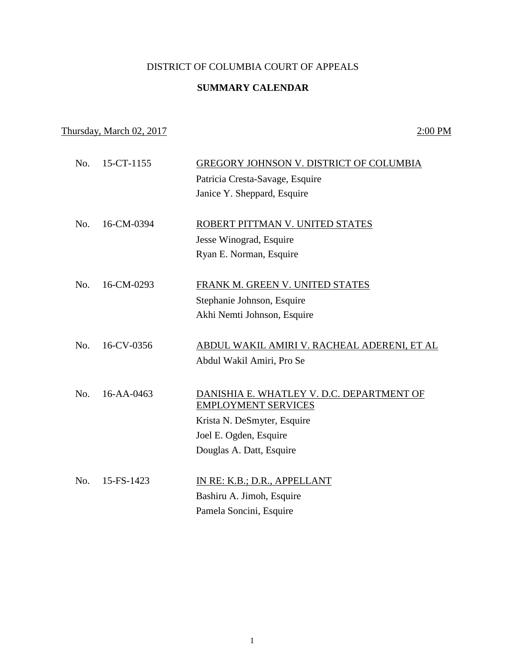## DISTRICT OF COLUMBIA COURT OF APPEALS

## **SUMMARY CALENDAR**

## Thursday, March 02, 2017 2:00 PM

| No. | 15-CT-1155 | GREGORY JOHNSON V. DISTRICT OF COLUMBIA     |
|-----|------------|---------------------------------------------|
|     |            | Patricia Cresta-Savage, Esquire             |
|     |            | Janice Y. Sheppard, Esquire                 |
|     |            |                                             |
| No. | 16-CM-0394 | ROBERT PITTMAN V. UNITED STATES             |
|     |            | Jesse Winograd, Esquire                     |
|     |            | Ryan E. Norman, Esquire                     |
| No. | 16-CM-0293 | FRANK M. GREEN V. UNITED STATES             |
|     |            | Stephanie Johnson, Esquire                  |
|     |            | Akhi Nemti Johnson, Esquire                 |
|     |            |                                             |
| No. | 16-CV-0356 | ABDUL WAKIL AMIRI V. RACHEAL ADERENI, ET AL |
|     |            | Abdul Wakil Amiri, Pro Se                   |
|     |            |                                             |
| No. | 16-AA-0463 | DANISHIA E. WHATLEY V. D.C. DEPARTMENT OF   |
|     |            | <b>EMPLOYMENT SERVICES</b>                  |
|     |            | Krista N. DeSmyter, Esquire                 |
|     |            | Joel E. Ogden, Esquire                      |
|     |            | Douglas A. Datt, Esquire                    |
| No. | 15-FS-1423 | IN RE: K.B.; D.R., APPELLANT                |
|     |            | Bashiru A. Jimoh, Esquire                   |
|     |            |                                             |
|     |            | Pamela Soncini, Esquire                     |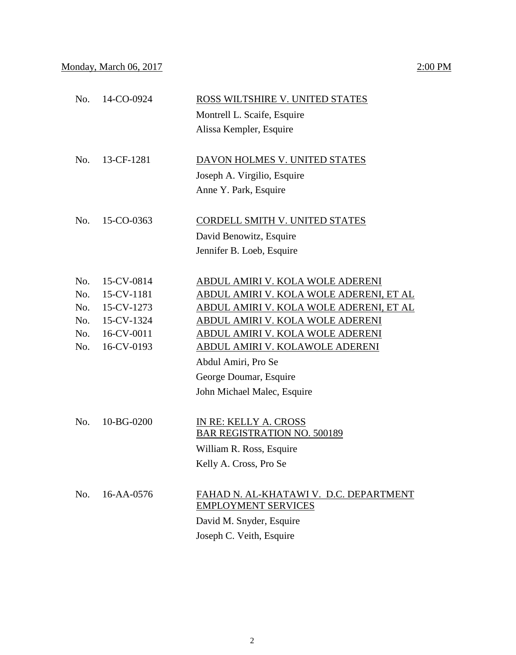| No. | 14-CO-0924 | ROSS WILTSHIRE V. UNITED STATES<br>Montrell L. Scaife, Esquire |
|-----|------------|----------------------------------------------------------------|
|     |            |                                                                |
|     |            | Alissa Kempler, Esquire                                        |
| No. | 13-CF-1281 | DAVON HOLMES V. UNITED STATES                                  |
|     |            | Joseph A. Virgilio, Esquire                                    |
|     |            |                                                                |
|     |            | Anne Y. Park, Esquire                                          |
| No. | 15-CO-0363 | CORDELL SMITH V. UNITED STATES                                 |
|     |            | David Benowitz, Esquire                                        |
|     |            | Jennifer B. Loeb, Esquire                                      |
|     |            |                                                                |
| No. | 15-CV-0814 | ABDUL AMIRI V. KOLA WOLE ADERENI                               |
| No. | 15-CV-1181 | ABDUL AMIRI V. KOLA WOLE ADERENI, ET AL                        |
| No. | 15-CV-1273 | ABDUL AMIRI V. KOLA WOLE ADERENI, ET AL                        |
| No. | 15-CV-1324 | ABDUL AMIRI V. KOLA WOLE ADERENI                               |
| No. | 16-CV-0011 | <u>ABDUL AMIRI V. KOLA WOLE ADERENI</u>                        |
| No. | 16-CV-0193 | <u>ABDUL AMIRI V. KOLAWOLE ADERENI</u>                         |
|     |            | Abdul Amiri, Pro Se                                            |
|     |            | George Doumar, Esquire                                         |
|     |            | John Michael Malec, Esquire                                    |
|     |            |                                                                |
| No. | 10-BG-0200 | IN RE: KELLY A. CROSS                                          |
|     |            | <b>BAR REGISTRATION NO. 500189</b>                             |
|     |            | William R. Ross, Esquire                                       |
|     |            | Kelly A. Cross, Pro Se                                         |
|     |            |                                                                |
| No. | 16-AA-0576 | FAHAD N. AL-KHATAWI V. D.C. DEPARTMENT                         |
|     |            | <b>EMPLOYMENT SERVICES</b>                                     |
|     |            | David M. Snyder, Esquire                                       |
|     |            | Joseph C. Veith, Esquire                                       |
|     |            |                                                                |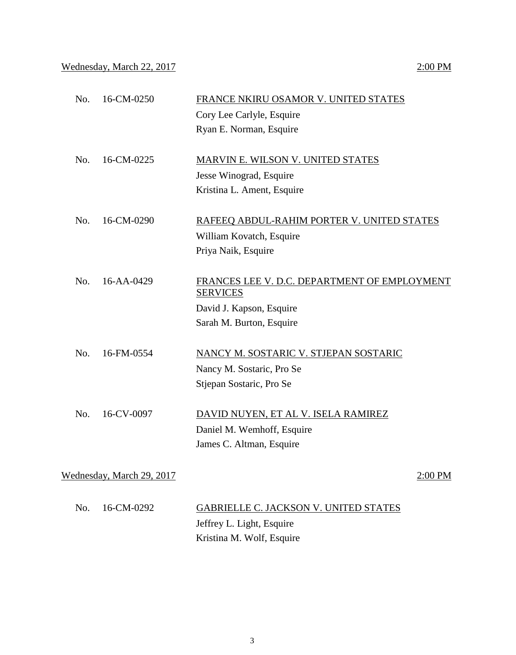Wednesday, March 22, 2017 2:00 PM

| No. | 16-CM-0250                | FRANCE NKIRU OSAMOR V. UNITED STATES                            |
|-----|---------------------------|-----------------------------------------------------------------|
|     |                           | Cory Lee Carlyle, Esquire                                       |
|     |                           | Ryan E. Norman, Esquire                                         |
| No. | 16-CM-0225                | <b>MARVIN E. WILSON V. UNITED STATES</b>                        |
|     |                           | Jesse Winograd, Esquire                                         |
|     |                           | Kristina L. Ament, Esquire                                      |
| No. | 16-CM-0290                | RAFEEQ ABDUL-RAHIM PORTER V. UNITED STATES                      |
|     |                           | William Kovatch, Esquire                                        |
|     |                           | Priya Naik, Esquire                                             |
| No. | 16-AA-0429                | FRANCES LEE V. D.C. DEPARTMENT OF EMPLOYMENT<br><b>SERVICES</b> |
|     |                           | David J. Kapson, Esquire                                        |
|     |                           | Sarah M. Burton, Esquire                                        |
| No. | 16-FM-0554                | NANCY M. SOSTARIC V. STJEPAN SOSTARIC                           |
|     |                           | Nancy M. Sostaric, Pro Se                                       |
|     |                           | Stjepan Sostaric, Pro Se                                        |
| No. | 16-CV-0097                | DAVID NUYEN, ET AL V. ISELA RAMIREZ                             |
|     |                           | Daniel M. Wemhoff, Esquire                                      |
|     |                           | James C. Altman, Esquire                                        |
|     | Wednesday, March 29, 2017 | 2:00 PM                                                         |
| No. | 16-CM-0292                | <b>GABRIELLE C. JACKSON V. UNITED STATES</b>                    |

No. 16-CM-0292 **GABRIELLE C. JACKSON V. UNITED STATES** Jeffrey L. Light, Esquire Kristina M. Wolf, Esquire